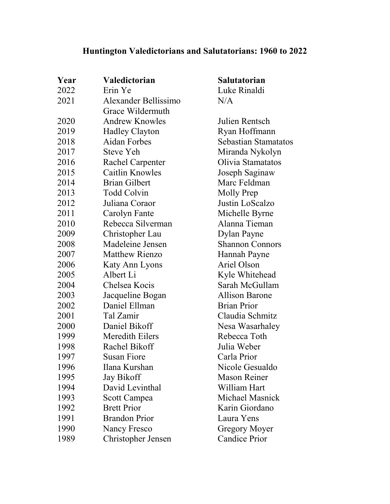## **Huntington Valedictorians and Salutatorians: 1960 to 2022**

| Year | Valedictorian           | <b>Salutatorian</b>         |
|------|-------------------------|-----------------------------|
| 2022 | Erin Ye                 | Luke Rinaldi                |
| 2021 | Alexander Bellissimo    | N/A                         |
|      | Grace Wildermuth        |                             |
| 2020 | <b>Andrew Knowles</b>   | Julien Rentsch              |
| 2019 | <b>Hadley Clayton</b>   | Ryan Hoffmann               |
| 2018 | <b>Aidan Forbes</b>     | <b>Sebastian Stamatatos</b> |
| 2017 | <b>Steve Yeh</b>        | Miranda Nykolyn             |
| 2016 | <b>Rachel Carpenter</b> | Olivia Stamatatos           |
| 2015 | Caitlin Knowles         | Joseph Saginaw              |
| 2014 | <b>Brian Gilbert</b>    | Marc Feldman                |
| 2013 | <b>Todd Colvin</b>      | Molly Prep                  |
| 2012 | Juliana Coraor          | Justin LoScalzo             |
| 2011 | Carolyn Fante           | Michelle Byrne              |
| 2010 | Rebecca Silverman       | Alanna Tieman               |
| 2009 | Christopher Lau         | Dylan Payne                 |
| 2008 | Madeleine Jensen        | <b>Shannon Connors</b>      |
| 2007 | <b>Matthew Rienzo</b>   | Hannah Payne                |
| 2006 | Katy Ann Lyons          | Ariel Olson                 |
| 2005 | Albert Li               | Kyle Whitehead              |
| 2004 | Chelsea Kocis           | Sarah McGullam              |
| 2003 | Jacqueline Bogan        | <b>Allison Barone</b>       |
| 2002 | Daniel Ellman           | <b>Brian Prior</b>          |
| 2001 | Tal Zamir               | Claudia Schmitz             |
| 2000 | Daniel Bikoff           | Nesa Wasarhaley             |
| 1999 | Meredith Eilers         | Rebecca Toth                |
| 1998 | Rachel Bikoff           | Julia Weber                 |
| 1997 | Susan Fiore             | Carla Prior                 |
| 1996 | Ilana Kurshan           | Nicole Gesualdo             |
| 1995 | <b>Jay Bikoff</b>       | <b>Mason Reiner</b>         |
| 1994 | David Levinthal         | William Hart                |
| 1993 | Scott Campea            | Michael Masnick             |
| 1992 | <b>Brett Prior</b>      | Karin Giordano              |
| 1991 | <b>Brandon Prior</b>    | Laura Yens                  |
| 1990 | Nancy Fresco            | Gregory Moyer               |
| 1989 | Christopher Jensen      | <b>Candice Prior</b>        |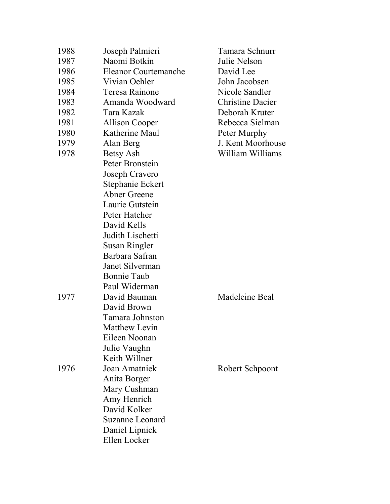| 1988 | Joseph Palmieri             | Tamara Schnurr          |
|------|-----------------------------|-------------------------|
| 1987 | Naomi Botkin                | Julie Nelson            |
| 1986 | <b>Eleanor Courtemanche</b> | David Lee               |
| 1985 | Vivian Oehler               | John Jacobsen           |
| 1984 | <b>Teresa Rainone</b>       | Nicole Sandler          |
| 1983 | Amanda Woodward             | <b>Christine Dacier</b> |
| 1982 | Tara Kazak                  | Deborah Kruter          |
| 1981 | <b>Allison Cooper</b>       | Rebecca Sielman         |
| 1980 | Katherine Maul              | Peter Murphy            |
| 1979 | Alan Berg                   | J. Kent Moorhouse       |
| 1978 | Betsy Ash                   | William Williams        |
|      | Peter Bronstein             |                         |
|      | Joseph Cravero              |                         |
|      | Stephanie Eckert            |                         |
|      | Abner Greene                |                         |
|      | Laurie Gutstein             |                         |
|      | Peter Hatcher               |                         |
|      | David Kells                 |                         |
|      | Judith Lischetti            |                         |
|      | Susan Ringler               |                         |
|      | Barbara Safran              |                         |
|      | Janet Silverman             |                         |
|      | <b>Bonnie Taub</b>          |                         |
|      | Paul Widerman               |                         |
| 1977 | David Bauman                | Madeleine Beal          |
|      | David Brown                 |                         |
|      | Tamara Johnston             |                         |
|      | Matthew Levin               |                         |
|      | Eileen Noonan               |                         |
|      | Julie Vaughn                |                         |
|      | Keith Willner               |                         |
| 1976 | Joan Amatniek               | Robert Schpoont         |
|      | Anita Borger                |                         |
|      | Mary Cushman                |                         |
|      | Amy Henrich                 |                         |
|      | David Kolker                |                         |
|      | Suzanne Leonard             |                         |
|      | Daniel Lipnick              |                         |
|      | Ellen Locker                |                         |
|      |                             |                         |